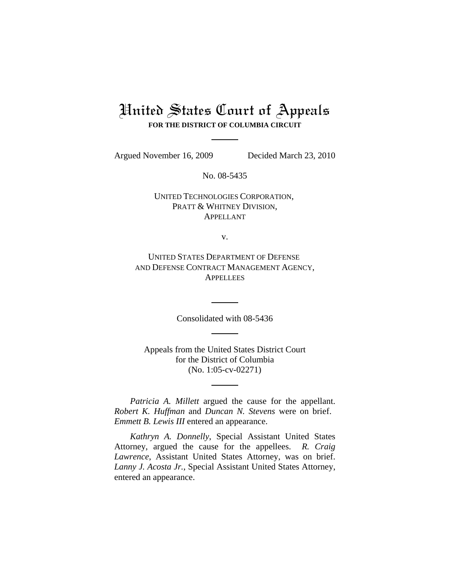# United States Court of Appeals **FOR THE DISTRICT OF COLUMBIA CIRCUIT**

Argued November 16, 2009 Decided March 23, 2010

No. 08-5435

UNITED TECHNOLOGIES CORPORATION, PRATT & WHITNEY DIVISION, APPELLANT

v.

UNITED STATES DEPARTMENT OF DEFENSE AND DEFENSE CONTRACT MANAGEMENT AGENCY, **APPELLEES** 

Consolidated with 08-5436

Appeals from the United States District Court for the District of Columbia (No. 1:05-cv-02271)

*Patricia A. Millett* argued the cause for the appellant. *Robert K. Huffman* and *Duncan N. Stevens* were on brief. *Emmett B. Lewis III* entered an appearance.

*Kathryn A. Donnelly*, Special Assistant United States Attorney, argued the cause for the appellees. *R. Craig Lawrence*, Assistant United States Attorney, was on brief. *Lanny J. Acosta Jr.*, Special Assistant United States Attorney, entered an appearance.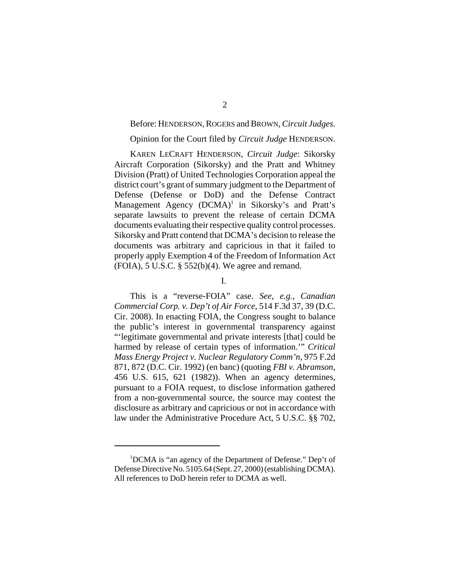Before: HENDERSON, ROGERS and BROWN, *Circuit Judges*.

## Opinion for the Court filed by *Circuit Judge* HENDERSON.

KAREN LECRAFT HENDERSON, *Circuit Judge*: Sikorsky Aircraft Corporation (Sikorsky) and the Pratt and Whitney Division (Pratt) of United Technologies Corporation appeal the district court's grant of summary judgment to the Department of Defense (Defense or DoD) and the Defense Contract Management Agency  $(DCMA)^1$  in Sikorsky's and Pratt's separate lawsuits to prevent the release of certain DCMA documents evaluating their respective quality control processes. Sikorsky and Pratt contend that DCMA's decision to release the documents was arbitrary and capricious in that it failed to properly apply Exemption 4 of the Freedom of Information Act  $(FOIA)$ , 5 U.S.C. § 552(b)(4). We agree and remand.

I.

This is a "reverse-FOIA" case. *See*, *e.g.*, *Canadian Commercial Corp. v. Dep't of Air Force*, 514 F.3d 37, 39 (D.C. Cir. 2008). In enacting FOIA, the Congress sought to balance the public's interest in governmental transparency against "'legitimate governmental and private interests [that] could be harmed by release of certain types of information.'" *Critical Mass Energy Project v. Nuclear Regulatory Comm'n*, 975 F.2d 871, 872 (D.C. Cir. 1992) (en banc) (quoting *FBI v. Abramson*, 456 U.S. 615, 621 (1982)). When an agency determines, pursuant to a FOIA request, to disclose information gathered from a non-governmental source, the source may contest the disclosure as arbitrary and capricious or not in accordance with law under the Administrative Procedure Act, 5 U.S.C. §§ 702,

<sup>&</sup>lt;sup>1</sup>DCMA is "an agency of the Department of Defense." Dep't of Defense Directive No. 5105.64 (Sept. 27, 2000) (establishing DCMA). All references to DoD herein refer to DCMA as well.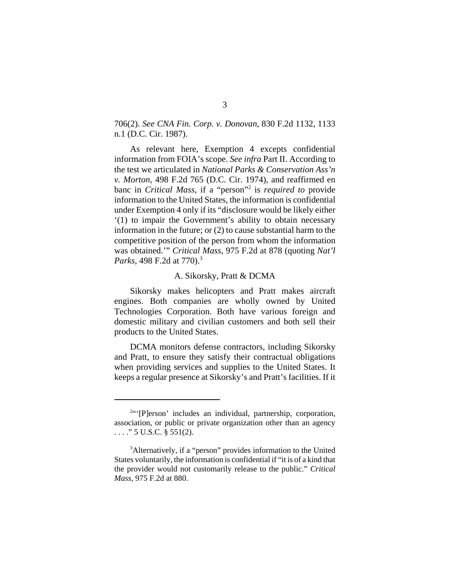706(2). *See CNA Fin. Corp. v. Donovan*, 830 F.2d 1132, 1133 n.1 (D.C. Cir. 1987).

As relevant here, Exemption 4 excepts confidential information from FOIA's scope. *See infra* Part II. According to the test we articulated in *National Parks & Conservation Ass'n v. Morton*, 498 F.2d 765 (D.C. Cir. 1974), and reaffirmed en banc in *Critical Mass*, if a "person"2 is *required to* provide information to the United States, the information is confidential under Exemption 4 only if its "disclosure would be likely either '(1) to impair the Government's ability to obtain necessary information in the future; or (2) to cause substantial harm to the competitive position of the person from whom the information was obtained.'" *Critical Mass*, 975 F.2d at 878 (quoting *Nat'l Parks*, 498 F.2d at 770).<sup>3</sup>

### A. Sikorsky, Pratt & DCMA

Sikorsky makes helicopters and Pratt makes aircraft engines. Both companies are wholly owned by United Technologies Corporation. Both have various foreign and domestic military and civilian customers and both sell their products to the United States.

DCMA monitors defense contractors, including Sikorsky and Pratt, to ensure they satisfy their contractual obligations when providing services and supplies to the United States. It keeps a regular presence at Sikorsky's and Pratt's facilities. If it

<sup>&</sup>lt;sup>2</sup>"'[P]erson' includes an individual, partnership, corporation, association, or public or private organization other than an agency . . . ." 5 U.S.C. § 551(2).

<sup>&</sup>lt;sup>3</sup>Alternatively, if a "person" provides information to the United States voluntarily, the information is confidential if "it is of a kind that the provider would not customarily release to the public." *Critical Mass*, 975 F.2d at 880.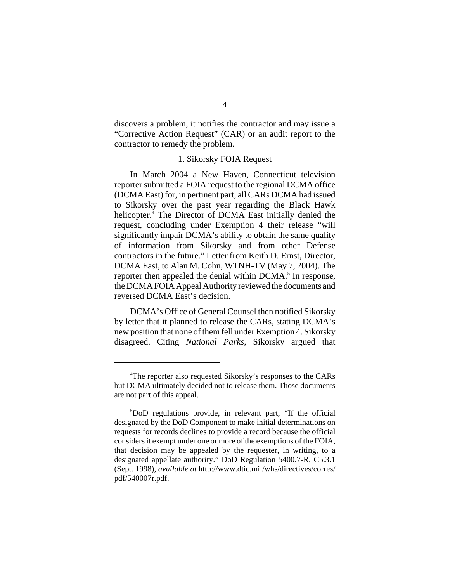discovers a problem, it notifies the contractor and may issue a "Corrective Action Request" (CAR) or an audit report to the contractor to remedy the problem.

# 1. Sikorsky FOIA Request

In March 2004 a New Haven, Connecticut television reporter submitted a FOIA request to the regional DCMA office (DCMA East) for, in pertinent part, all CARs DCMA had issued to Sikorsky over the past year regarding the Black Hawk helicopter.<sup>4</sup> The Director of DCMA East initially denied the request, concluding under Exemption 4 their release "will significantly impair DCMA's ability to obtain the same quality of information from Sikorsky and from other Defense contractors in the future." Letter from Keith D. Ernst, Director, DCMA East, to Alan M. Cohn, WTNH-TV (May 7, 2004). The reporter then appealed the denial within DCMA.<sup>5</sup> In response, the DCMA FOIA Appeal Authority reviewed the documents and reversed DCMA East's decision.

DCMA's Office of General Counsel then notified Sikorsky by letter that it planned to release the CARs, stating DCMA's new position that none of them fell under Exemption 4. Sikorsky disagreed. Citing *National Parks*, Sikorsky argued that

<sup>&</sup>lt;sup>4</sup>The reporter also requested Sikorsky's responses to the CARs but DCMA ultimately decided not to release them. Those documents are not part of this appeal.

<sup>5</sup> DoD regulations provide, in relevant part, "If the official designated by the DoD Component to make initial determinations on requests for records declines to provide a record because the official considers it exempt under one or more of the exemptions of the FOIA, that decision may be appealed by the requester, in writing, to a designated appellate authority." DoD Regulation 5400.7-R, C5.3.1 (Sept. 1998), *available at* http://www.dtic.mil/whs/directives/corres/ pdf/540007r.pdf.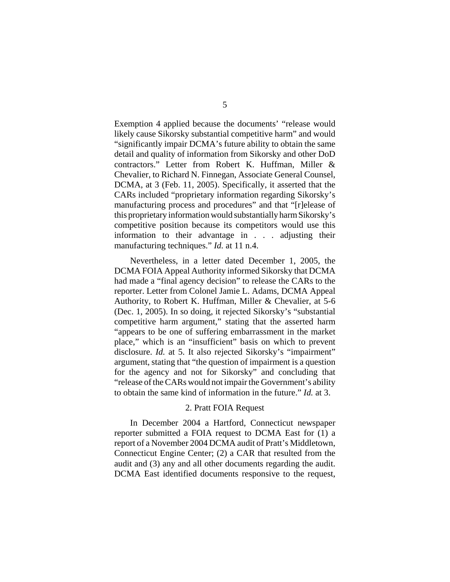Exemption 4 applied because the documents' "release would likely cause Sikorsky substantial competitive harm" and would "significantly impair DCMA's future ability to obtain the same detail and quality of information from Sikorsky and other DoD contractors." Letter from Robert K. Huffman, Miller & Chevalier, to Richard N. Finnegan, Associate General Counsel, DCMA, at 3 (Feb. 11, 2005). Specifically, it asserted that the CARs included "proprietary information regarding Sikorsky's manufacturing process and procedures" and that "[r]elease of this proprietary information would substantially harm Sikorsky's competitive position because its competitors would use this information to their advantage in . . . adjusting their manufacturing techniques." *Id.* at 11 n.4.

Nevertheless, in a letter dated December 1, 2005, the DCMA FOIA Appeal Authority informed Sikorsky that DCMA had made a "final agency decision" to release the CARs to the reporter. Letter from Colonel Jamie L. Adams, DCMA Appeal Authority, to Robert K. Huffman, Miller & Chevalier, at 5-6 (Dec. 1, 2005). In so doing, it rejected Sikorsky's "substantial competitive harm argument," stating that the asserted harm "appears to be one of suffering embarrassment in the market place," which is an "insufficient" basis on which to prevent disclosure. *Id.* at 5. It also rejected Sikorsky's "impairment" argument, stating that "the question of impairment is a question for the agency and not for Sikorsky" and concluding that "release of the CARs would not impair the Government's ability to obtain the same kind of information in the future." *Id.* at 3.

# 2. Pratt FOIA Request

In December 2004 a Hartford, Connecticut newspaper reporter submitted a FOIA request to DCMA East for (1) a report of a November 2004 DCMA audit of Pratt's Middletown, Connecticut Engine Center; (2) a CAR that resulted from the audit and (3) any and all other documents regarding the audit. DCMA East identified documents responsive to the request,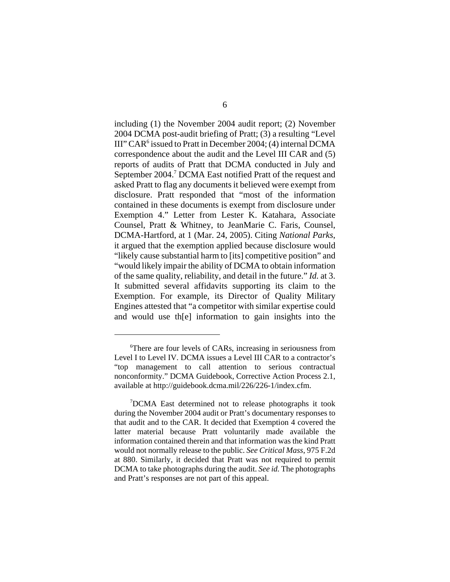including (1) the November 2004 audit report; (2) November 2004 DCMA post-audit briefing of Pratt; (3) a resulting "Level III" CAR<sup>6</sup> issued to Pratt in December 2004; (4) internal DCMA correspondence about the audit and the Level III CAR and (5) reports of audits of Pratt that DCMA conducted in July and September 2004.<sup>7</sup> DCMA East notified Pratt of the request and asked Pratt to flag any documents it believed were exempt from disclosure. Pratt responded that "most of the information contained in these documents is exempt from disclosure under Exemption 4." Letter from Lester K. Katahara, Associate Counsel, Pratt & Whitney, to JeanMarie C. Faris, Counsel, DCMA-Hartford, at 1 (Mar. 24, 2005). Citing *National Parks*, it argued that the exemption applied because disclosure would "likely cause substantial harm to [its] competitive position" and "would likely impair the ability of DCMA to obtain information of the same quality, reliability, and detail in the future." *Id.* at 3. It submitted several affidavits supporting its claim to the Exemption. For example, its Director of Quality Military Engines attested that "a competitor with similar expertise could and would use th[e] information to gain insights into the

<sup>6</sup> There are four levels of CARs, increasing in seriousness from Level I to Level IV. DCMA issues a Level III CAR to a contractor's "top management to call attention to serious contractual nonconformity." DCMA Guidebook, Corrective Action Process 2.1, available at http://guidebook.dcma.mil/226/226-1/index.cfm.

<sup>7</sup> DCMA East determined not to release photographs it took during the November 2004 audit or Pratt's documentary responses to that audit and to the CAR. It decided that Exemption 4 covered the latter material because Pratt voluntarily made available the information contained therein and that information was the kind Pratt would not normally release to the public. *See Critical Mass*, 975 F.2d at 880. Similarly, it decided that Pratt was not required to permit DCMA to take photographs during the audit. *See id.* The photographs and Pratt's responses are not part of this appeal.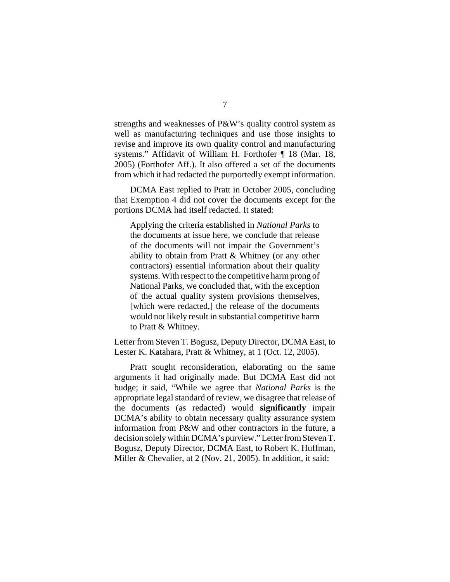strengths and weaknesses of P&W's quality control system as well as manufacturing techniques and use those insights to revise and improve its own quality control and manufacturing systems." Affidavit of William H. Forthofer ¶ 18 (Mar. 18, 2005) (Forthofer Aff.). It also offered a set of the documents from which it had redacted the purportedly exempt information.

DCMA East replied to Pratt in October 2005, concluding that Exemption 4 did not cover the documents except for the portions DCMA had itself redacted. It stated:

Applying the criteria established in *National Parks* to the documents at issue here, we conclude that release of the documents will not impair the Government's ability to obtain from Pratt & Whitney (or any other contractors) essential information about their quality systems. With respect to the competitive harm prong of National Parks, we concluded that, with the exception of the actual quality system provisions themselves, [which were redacted,] the release of the documents would not likely result in substantial competitive harm to Pratt & Whitney.

Letter from Steven T. Bogusz, Deputy Director, DCMA East, to Lester K. Katahara, Pratt & Whitney, at 1 (Oct. 12, 2005).

Pratt sought reconsideration, elaborating on the same arguments it had originally made. But DCMA East did not budge; it said, "While we agree that *National Parks* is the appropriate legal standard of review, we disagree that release of the documents (as redacted) would **significantly** impair DCMA's ability to obtain necessary quality assurance system information from P&W and other contractors in the future, a decision solely within DCMA's purview." Letter from Steven T. Bogusz, Deputy Director, DCMA East, to Robert K. Huffman, Miller & Chevalier, at 2 (Nov. 21, 2005). In addition, it said: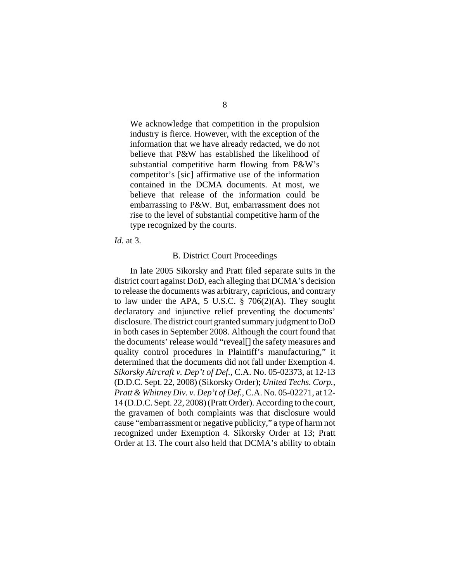We acknowledge that competition in the propulsion industry is fierce. However, with the exception of the information that we have already redacted, we do not believe that P&W has established the likelihood of substantial competitive harm flowing from P&W's competitor's [sic] affirmative use of the information contained in the DCMA documents. At most, we believe that release of the information could be embarrassing to P&W. But, embarrassment does not rise to the level of substantial competitive harm of the type recognized by the courts.

*Id.* at 3.

#### B. District Court Proceedings

In late 2005 Sikorsky and Pratt filed separate suits in the district court against DoD, each alleging that DCMA's decision to release the documents was arbitrary, capricious, and contrary to law under the APA, 5 U.S.C.  $\S$  706(2)(A). They sought declaratory and injunctive relief preventing the documents' disclosure. The district court granted summary judgment to DoD in both cases in September 2008. Although the court found that the documents' release would "reveal[] the safety measures and quality control procedures in Plaintiff's manufacturing," it determined that the documents did not fall under Exemption 4. *Sikorsky Aircraft v. Dep't of Def.*, C.A. No. 05-02373, at 12-13 (D.D.C. Sept. 22, 2008) (Sikorsky Order); *United Techs. Corp., Pratt & Whitney Div. v. Dep't of Def.*, C.A. No. 05-02271, at 12- 14 (D.D.C. Sept. 22, 2008) (Pratt Order). According to the court, the gravamen of both complaints was that disclosure would cause "embarrassment or negative publicity," a type of harm not recognized under Exemption 4. Sikorsky Order at 13; Pratt Order at 13. The court also held that DCMA's ability to obtain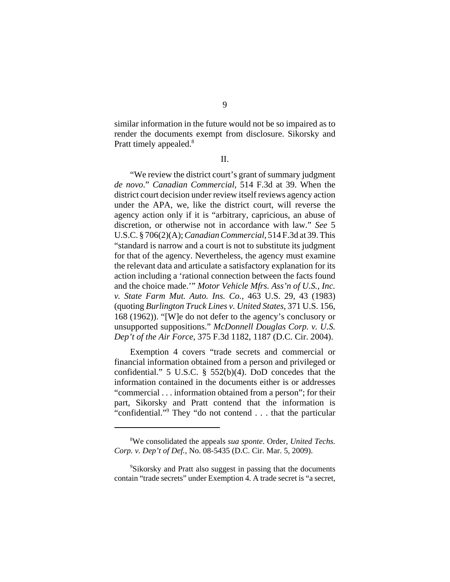similar information in the future would not be so impaired as to render the documents exempt from disclosure. Sikorsky and Pratt timely appealed.<sup>8</sup>

II.

"We review the district court's grant of summary judgment *de novo*." *Canadian Commercial*, 514 F.3d at 39. When the district court decision under review itself reviews agency action under the APA, we, like the district court, will reverse the agency action only if it is "arbitrary, capricious, an abuse of discretion, or otherwise not in accordance with law." *See* 5 U.S.C. § 706(2)(A); *Canadian Commercial*, 514 F.3d at 39. This "standard is narrow and a court is not to substitute its judgment for that of the agency. Nevertheless, the agency must examine the relevant data and articulate a satisfactory explanation for its action including a 'rational connection between the facts found and the choice made.'" *Motor Vehicle Mfrs. Ass'n of U.S., Inc. v. State Farm Mut. Auto. Ins. Co.*, 463 U.S. 29, 43 (1983) (quoting *Burlington Truck Lines v. United States*, 371 U.S. 156, 168 (1962)). "[W]e do not defer to the agency's conclusory or unsupported suppositions." *McDonnell Douglas Corp. v. U.S. Dep't of the Air Force*, 375 F.3d 1182, 1187 (D.C. Cir. 2004).

Exemption 4 covers "trade secrets and commercial or financial information obtained from a person and privileged or confidential." 5 U.S.C. § 552(b)(4). DoD concedes that the information contained in the documents either is or addresses "commercial . . . information obtained from a person"; for their part, Sikorsky and Pratt contend that the information is "confidential."9 They "do not contend . . . that the particular

<sup>8</sup> We consolidated the appeals *sua sponte*. Order, *United Techs. Corp. v. Dep't of Def.*, No. 08-5435 (D.C. Cir. Mar. 5, 2009).

<sup>9</sup> Sikorsky and Pratt also suggest in passing that the documents contain "trade secrets" under Exemption 4. A trade secret is "a secret,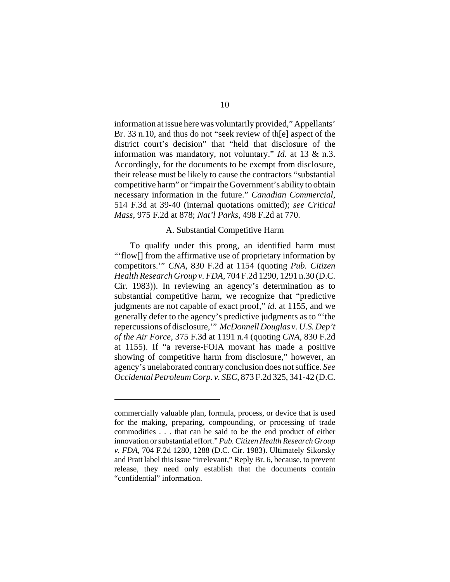information at issue here was voluntarily provided," Appellants' Br. 33 n.10, and thus do not "seek review of th[e] aspect of the district court's decision" that "held that disclosure of the information was mandatory, not voluntary." *Id.* at 13 & n.3. Accordingly, for the documents to be exempt from disclosure, their release must be likely to cause the contractors "substantial competitive harm" or "impair the Government's ability to obtain necessary information in the future." *Canadian Commercial*, 514 F.3d at 39-40 (internal quotations omitted); *see Critical Mass*, 975 F.2d at 878; *Nat'l Parks*, 498 F.2d at 770.

## A. Substantial Competitive Harm

To qualify under this prong, an identified harm must "'flow[] from the affirmative use of proprietary information by competitors.'" *CNA*, 830 F.2d at 1154 (quoting *Pub. Citizen Health Research Group v. FDA*, 704 F.2d 1290, 1291 n.30 (D.C. Cir. 1983)). In reviewing an agency's determination as to substantial competitive harm, we recognize that "predictive judgments are not capable of exact proof," *id.* at 1155, and we generally defer to the agency's predictive judgments as to "'the repercussions of disclosure,'" *McDonnell Douglas v. U.S. Dep't of the Air Force*, 375 F.3d at 1191 n.4 (quoting *CNA*, 830 F.2d at 1155). If "a reverse-FOIA movant has made a positive showing of competitive harm from disclosure," however, an agency's unelaborated contrary conclusion does not suffice. *See Occidental Petroleum Corp. v. SEC*, 873 F.2d 325, 341-42 (D.C.

commercially valuable plan, formula, process, or device that is used for the making, preparing, compounding, or processing of trade commodities . . . that can be said to be the end product of either innovation or substantial effort." *Pub. Citizen Health Research Group v. FDA*, 704 F.2d 1280, 1288 (D.C. Cir. 1983). Ultimately Sikorsky and Pratt label this issue "irrelevant," Reply Br. 6, because, to prevent release, they need only establish that the documents contain "confidential" information.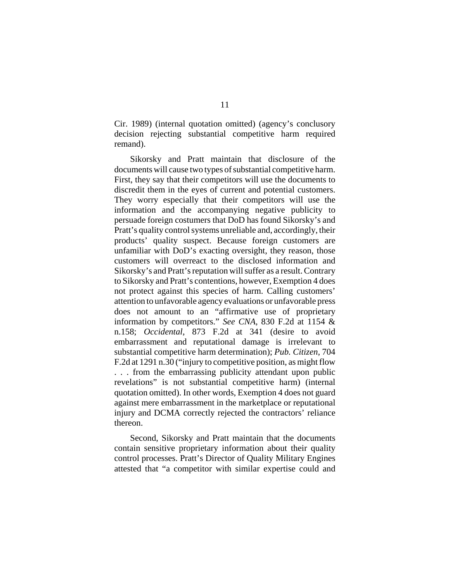Cir. 1989) (internal quotation omitted) (agency's conclusory decision rejecting substantial competitive harm required remand).

Sikorsky and Pratt maintain that disclosure of the documents will cause two types of substantial competitive harm. First, they say that their competitors will use the documents to discredit them in the eyes of current and potential customers. They worry especially that their competitors will use the information and the accompanying negative publicity to persuade foreign costumers that DoD has found Sikorsky's and Pratt's quality control systems unreliable and, accordingly, their products' quality suspect. Because foreign customers are unfamiliar with DoD's exacting oversight, they reason, those customers will overreact to the disclosed information and Sikorsky's and Pratt's reputation will suffer as a result. Contrary to Sikorsky and Pratt's contentions, however, Exemption 4 does not protect against this species of harm. Calling customers' attention to unfavorable agency evaluations or unfavorable press does not amount to an "affirmative use of proprietary information by competitors." *See CNA*, 830 F.2d at 1154 & n.158; *Occidental*, 873 F.2d at 341 (desire to avoid embarrassment and reputational damage is irrelevant to substantial competitive harm determination); *Pub. Citizen*, 704 F.2d at 1291 n.30 ("injury to competitive position, as might flow . . . from the embarrassing publicity attendant upon public revelations" is not substantial competitive harm) (internal quotation omitted). In other words, Exemption 4 does not guard against mere embarrassment in the marketplace or reputational injury and DCMA correctly rejected the contractors' reliance thereon.

Second, Sikorsky and Pratt maintain that the documents contain sensitive proprietary information about their quality control processes. Pratt's Director of Quality Military Engines attested that "a competitor with similar expertise could and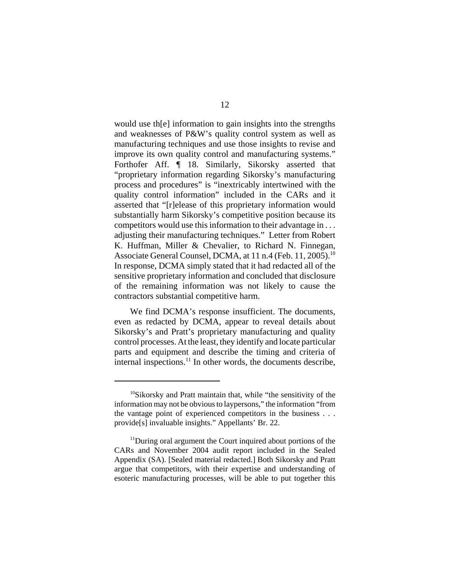would use th[e] information to gain insights into the strengths and weaknesses of P&W's quality control system as well as manufacturing techniques and use those insights to revise and improve its own quality control and manufacturing systems." Forthofer Aff. ¶ 18. Similarly, Sikorsky asserted that "proprietary information regarding Sikorsky's manufacturing process and procedures" is "inextricably intertwined with the quality control information" included in the CARs and it asserted that "[r]elease of this proprietary information would substantially harm Sikorsky's competitive position because its competitors would use this information to their advantage in . . . adjusting their manufacturing techniques." Letter from Robert K. Huffman, Miller & Chevalier, to Richard N. Finnegan, Associate General Counsel, DCMA, at 11 n.4 (Feb. 11, 2005).<sup>10</sup> In response, DCMA simply stated that it had redacted all of the sensitive proprietary information and concluded that disclosure of the remaining information was not likely to cause the contractors substantial competitive harm.

We find DCMA's response insufficient. The documents, even as redacted by DCMA, appear to reveal details about Sikorsky's and Pratt's proprietary manufacturing and quality control processes. At the least, they identify and locate particular parts and equipment and describe the timing and criteria of internal inspections.<sup>11</sup> In other words, the documents describe,

 $10$ Sikorsky and Pratt maintain that, while "the sensitivity of the information may not be obvious to laypersons," the information "from the vantage point of experienced competitors in the business . . . provide[s] invaluable insights." Appellants' Br. 22.

<sup>&</sup>lt;sup>11</sup>During oral argument the Court inquired about portions of the CARs and November 2004 audit report included in the Sealed Appendix (SA). [Sealed material redacted.] Both Sikorsky and Pratt argue that competitors, with their expertise and understanding of esoteric manufacturing processes, will be able to put together this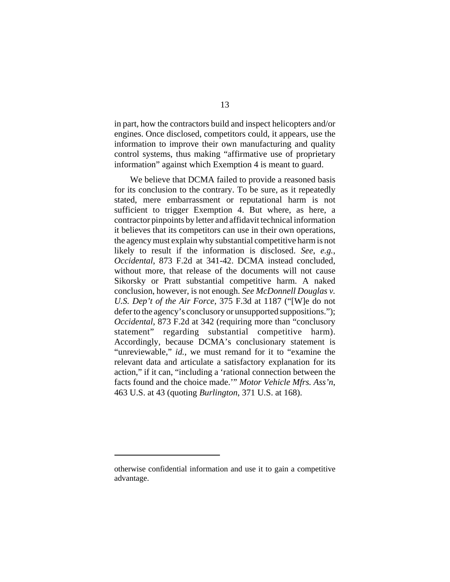in part, how the contractors build and inspect helicopters and/or engines. Once disclosed, competitors could, it appears, use the information to improve their own manufacturing and quality control systems, thus making "affirmative use of proprietary information" against which Exemption 4 is meant to guard.

We believe that DCMA failed to provide a reasoned basis for its conclusion to the contrary. To be sure, as it repeatedly stated, mere embarrassment or reputational harm is not sufficient to trigger Exemption 4. But where, as here, a contractor pinpoints by letter and affidavit technical information it believes that its competitors can use in their own operations, the agency must explain why substantial competitive harm is not likely to result if the information is disclosed. *See*, *e.g.*, *Occidental*, 873 F.2d at 341-42. DCMA instead concluded, without more, that release of the documents will not cause Sikorsky or Pratt substantial competitive harm. A naked conclusion, however, is not enough. *See McDonnell Douglas v. U.S. Dep't of the Air Force*, 375 F.3d at 1187 ("[W]e do not defer to the agency's conclusory or unsupported suppositions."); *Occidental*, 873 F.2d at 342 (requiring more than "conclusory statement" regarding substantial competitive harm). Accordingly, because DCMA's conclusionary statement is "unreviewable," *id.*, we must remand for it to "examine the relevant data and articulate a satisfactory explanation for its action," if it can, "including a 'rational connection between the facts found and the choice made.'" *Motor Vehicle Mfrs. Ass'n*, 463 U.S. at 43 (quoting *Burlington*, 371 U.S. at 168).

otherwise confidential information and use it to gain a competitive advantage.